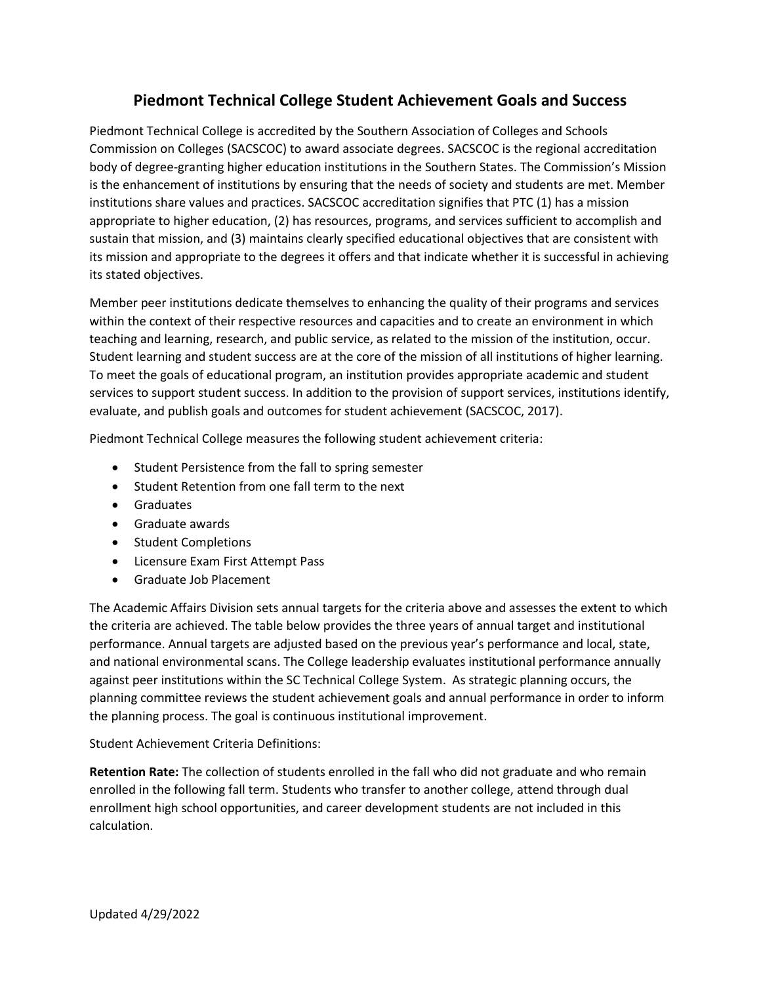## **Piedmont Technical College Student Achievement Goals and Success**

Piedmont Technical College is accredited by the Southern Association of Colleges and Schools Commission on Colleges (SACSCOC) to award associate degrees. SACSCOC is the regional accreditation body of degree-granting higher education institutions in the Southern States. The Commission's Mission is the enhancement of institutions by ensuring that the needs of society and students are met. Member institutions share values and practices. SACSCOC accreditation signifies that PTC (1) has a mission appropriate to higher education, (2) has resources, programs, and services sufficient to accomplish and sustain that mission, and (3) maintains clearly specified educational objectives that are consistent with its mission and appropriate to the degrees it offers and that indicate whether it is successful in achieving its stated objectives.

Member peer institutions dedicate themselves to enhancing the quality of their programs and services within the context of their respective resources and capacities and to create an environment in which teaching and learning, research, and public service, as related to the mission of the institution, occur. Student learning and student success are at the core of the mission of all institutions of higher learning. To meet the goals of educational program, an institution provides appropriate academic and student services to support student success. In addition to the provision of support services, institutions identify, evaluate, and publish goals and outcomes for student achievement (SACSCOC, 2017).

Piedmont Technical College measures the following student achievement criteria:

- Student Persistence from the fall to spring semester
- Student Retention from one fall term to the next
- Graduates
- Graduate awards
- Student Completions
- Licensure Exam First Attempt Pass
- Graduate Job Placement

The Academic Affairs Division sets annual targets for the criteria above and assesses the extent to which the criteria are achieved. The table below provides the three years of annual target and institutional performance. Annual targets are adjusted based on the previous year's performance and local, state, and national environmental scans. The College leadership evaluates institutional performance annually against peer institutions within the SC Technical College System. As strategic planning occurs, the planning committee reviews the student achievement goals and annual performance in order to inform the planning process. The goal is continuous institutional improvement.

Student Achievement Criteria Definitions:

**Retention Rate:** The collection of students enrolled in the fall who did not graduate and who remain enrolled in the following fall term. Students who transfer to another college, attend through dual enrollment high school opportunities, and career development students are not included in this calculation.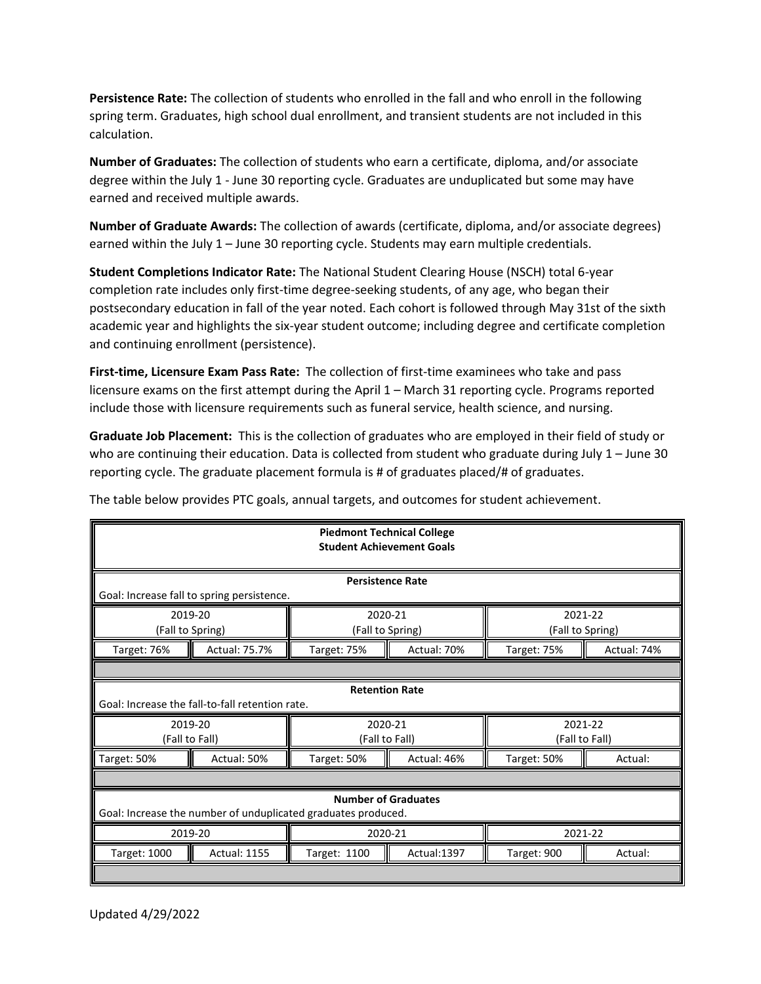**Persistence Rate:** The collection of students who enrolled in the fall and who enroll in the following spring term. Graduates, high school dual enrollment, and transient students are not included in this calculation.

**Number of Graduates:** The collection of students who earn a certificate, diploma, and/or associate degree within the July 1 - June 30 reporting cycle. Graduates are unduplicated but some may have earned and received multiple awards.

**Number of Graduate Awards:** The collection of awards (certificate, diploma, and/or associate degrees) earned within the July 1 – June 30 reporting cycle. Students may earn multiple credentials.

**Student Completions Indicator Rate:** The National Student Clearing House (NSCH) total 6-year completion rate includes only first-time degree-seeking students, of any age, who began their postsecondary education in fall of the year noted. Each cohort is followed through May 31st of the sixth academic year and highlights the six-year student outcome; including degree and certificate completion and continuing enrollment (persistence).

**First-time, Licensure Exam Pass Rate:** The collection of first-time examinees who take and pass licensure exams on the first attempt during the April 1 – March 31 reporting cycle. Programs reported include those with licensure requirements such as funeral service, health science, and nursing.

**Graduate Job Placement:** This is the collection of graduates who are employed in their field of study or who are continuing their education. Data is collected from student who graduate during July 1 – June 30 reporting cycle. The graduate placement formula is # of graduates placed/# of graduates.

| <b>Piedmont Technical College</b><br><b>Student Achievement Goals</b>                       |                     |                             |             |                             |             |  |  |  |
|---------------------------------------------------------------------------------------------|---------------------|-----------------------------|-------------|-----------------------------|-------------|--|--|--|
| <b>Persistence Rate</b><br>Goal: Increase fall to spring persistence.                       |                     |                             |             |                             |             |  |  |  |
| 2019-20<br>(Fall to Spring)                                                                 |                     | 2020-21<br>(Fall to Spring) |             | 2021-22<br>(Fall to Spring) |             |  |  |  |
| Target: 76%                                                                                 | Actual: 75.7%       | Target: 75%                 | Actual: 70% | Target: 75%                 | Actual: 74% |  |  |  |
|                                                                                             |                     |                             |             |                             |             |  |  |  |
| <b>Retention Rate</b><br>Goal: Increase the fall-to-fall retention rate.                    |                     |                             |             |                             |             |  |  |  |
| 2019-20<br>(Fall to Fall)                                                                   |                     | 2020-21<br>(Fall to Fall)   |             | 2021-22<br>(Fall to Fall)   |             |  |  |  |
| Target: 50%                                                                                 | Actual: 50%         | Target: 50%                 | Actual: 46% | Target: 50%                 | Actual:     |  |  |  |
|                                                                                             |                     |                             |             |                             |             |  |  |  |
| <b>Number of Graduates</b><br>Goal: Increase the number of unduplicated graduates produced. |                     |                             |             |                             |             |  |  |  |
| 2019-20                                                                                     |                     | 2020-21                     |             | 2021-22                     |             |  |  |  |
| Target: 1000                                                                                | <b>Actual: 1155</b> | Target: 1100                | Actual:1397 | Target: 900                 | Actual:     |  |  |  |
|                                                                                             |                     |                             |             |                             |             |  |  |  |

The table below provides PTC goals, annual targets, and outcomes for student achievement.